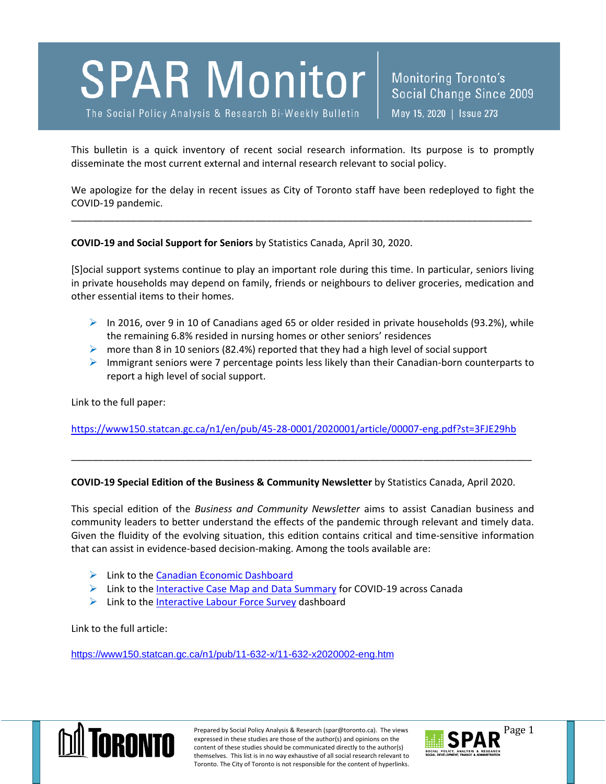

The Social Policy Analysis & Research Bi-Weekly Bulletin

Monitoring Toronto's Social Change Since 2009 May 15, 2020 | Issue 273

This bulletin is a quick inventory of recent social research information. Its purpose is to promptly disseminate the most current external and internal research relevant to social policy.

We apologize for the delay in recent issues as City of Toronto staff have been redeployed to fight the COVID-19 pandemic.

\_\_\_\_\_\_\_\_\_\_\_\_\_\_\_\_\_\_\_\_\_\_\_\_\_\_\_\_\_\_\_\_\_\_\_\_\_\_\_\_\_\_\_\_\_\_\_\_\_\_\_\_\_\_\_\_\_\_\_\_\_\_\_\_\_\_\_\_\_\_\_\_\_\_\_\_\_\_\_\_\_\_\_\_\_

**COVID-19 and Social Support for Seniors** by Statistics Canada, April 30, 2020.

[S]ocial support systems continue to play an important role during this time. In particular, seniors living in private households may depend on family, friends or neighbours to deliver groceries, medication and other essential items to their homes.

- $\triangleright$  In 2016, over 9 in 10 of Canadians aged 65 or older resided in private households (93.2%), while the remaining 6.8% resided in nursing homes or other seniors' residences
- $\triangleright$  more than 8 in 10 seniors (82.4%) reported that they had a high level of social support
- $\triangleright$  Immigrant seniors were 7 percentage points less likely than their Canadian-born counterparts to report a high level of social support.

Link to the full paper:

<https://www150.statcan.gc.ca/n1/en/pub/45-28-0001/2020001/article/00007-eng.pdf?st=3FJE29hb>

\_\_\_\_\_\_\_\_\_\_\_\_\_\_\_\_\_\_\_\_\_\_\_\_\_\_\_\_\_\_\_\_\_\_\_\_\_\_\_\_\_\_\_\_\_\_\_\_\_\_\_\_\_\_\_\_\_\_\_\_\_\_\_\_\_\_\_\_\_\_\_\_\_\_\_\_\_\_\_\_\_\_\_\_\_

## **COVID-19 Special Edition of the Business & Community Newsletter** by Statistics Canada, April 2020.

This special edition of the *Business and Community Newsletter* aims to assist Canadian business and community leaders to better understand the effects of the pandemic through relevant and timely data. Given the fluidity of the evolving situation, this edition contains critical and time-sensitive information that can assist in evidence-based decision-making. Among the tools available are:

- $\triangleright$  Link to the [Canadian Economic Dashboard](https://www150.statcan.gc.ca/n1/pub/71-607-x/71-607-x2020009-eng.htm)
- $\triangleright$  Link to the [Interactive Case Map](https://arcg.is/1L4yK90) and Data Summary for COVID-19 across Canada
- $\triangleright$  Link to the Interactive [Labour Force Survey](https://www150.statcan.gc.ca/n1/pub/14-20-0001/142000012018001-eng.htm) dashboard

Link to the full article:

<https://www150.statcan.gc.ca/n1/pub/11-632-x/11-632-x2020002-eng.htm>



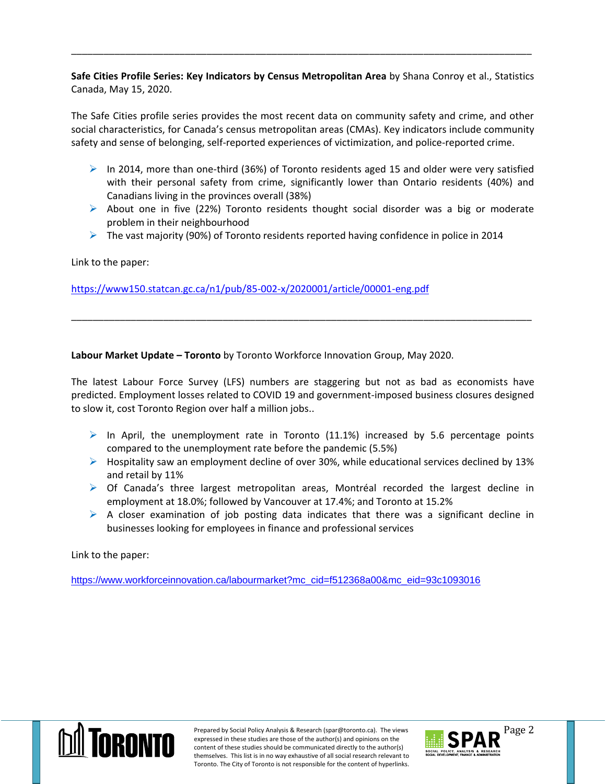**Safe Cities Profile Series: Key Indicators by Census Metropolitan Area** by Shana Conroy et al., Statistics Canada, May 15, 2020.

\_\_\_\_\_\_\_\_\_\_\_\_\_\_\_\_\_\_\_\_\_\_\_\_\_\_\_\_\_\_\_\_\_\_\_\_\_\_\_\_\_\_\_\_\_\_\_\_\_\_\_\_\_\_\_\_\_\_\_\_\_\_\_\_\_\_\_\_\_\_\_\_\_\_\_\_\_\_\_\_\_\_\_\_\_

The Safe Cities profile series provides the most recent data on community safety and crime, and other social characteristics, for Canada's census metropolitan areas (CMAs). Key indicators include community safety and sense of belonging, self-reported experiences of victimization, and police-reported crime.

- $\triangleright$  In 2014, more than one-third (36%) of Toronto residents aged 15 and older were very satisfied with their personal safety from crime, significantly lower than Ontario residents (40%) and Canadians living in the provinces overall (38%)
- $\triangleright$  About one in five (22%) Toronto residents thought social disorder was a big or moderate problem in their neighbourhood
- $\triangleright$  The vast majority (90%) of Toronto residents reported having confidence in police in 2014

Link to the paper:

<https://www150.statcan.gc.ca/n1/pub/85-002-x/2020001/article/00001-eng.pdf>

**Labour Market Update – Toronto** by Toronto Workforce Innovation Group, May 2020.

The latest Labour Force Survey (LFS) numbers are staggering but not as bad as economists have predicted. Employment losses related to COVID 19 and government-imposed business closures designed to slow it, cost Toronto Region over half a million jobs..

\_\_\_\_\_\_\_\_\_\_\_\_\_\_\_\_\_\_\_\_\_\_\_\_\_\_\_\_\_\_\_\_\_\_\_\_\_\_\_\_\_\_\_\_\_\_\_\_\_\_\_\_\_\_\_\_\_\_\_\_\_\_\_\_\_\_\_\_\_\_\_\_\_\_\_\_\_\_\_\_\_\_\_\_\_

- $\triangleright$  In April, the unemployment rate in Toronto (11.1%) increased by 5.6 percentage points compared to the unemployment rate before the pandemic (5.5%)
- $\triangleright$  Hospitality saw an employment decline of over 30%, while educational services declined by 13% and retail by 11%
- $\triangleright$  Of Canada's three largest metropolitan areas, Montréal recorded the largest decline in employment at 18.0%; followed by Vancouver at 17.4%; and Toronto at 15.2%
- $\triangleright$  A closer examination of job posting data indicates that there was a significant decline in businesses looking for employees in finance and professional services

Link to the paper:

[https://www.workforceinnovation.ca/labourmarket?mc\\_cid=f512368a00&mc\\_eid=93c1093016](https://www.workforceinnovation.ca/labourmarket?mc_cid=f512368a00&mc_eid=93c1093016)